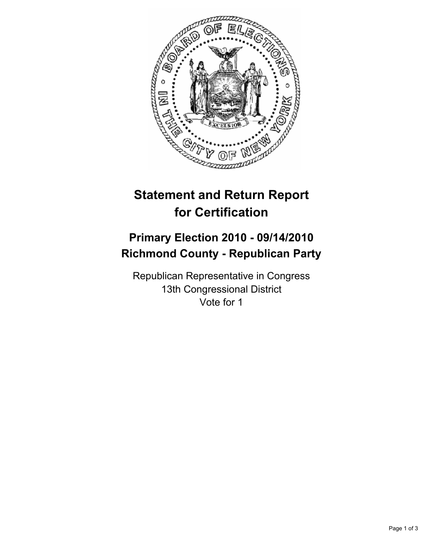

# **Statement and Return Report for Certification**

## **Primary Election 2010 - 09/14/2010 Richmond County - Republican Party**

Republican Representative in Congress 13th Congressional District Vote for 1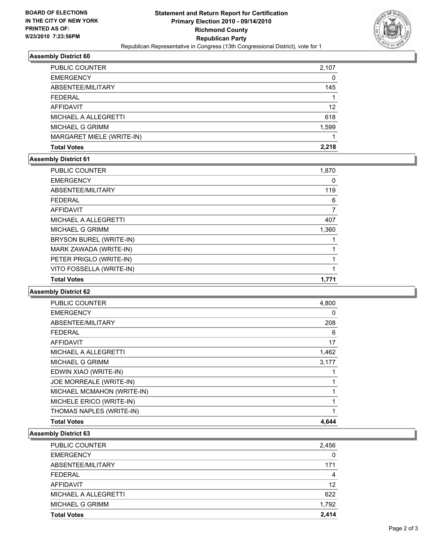

### **Assembly District 60**

| <b>Total Votes</b>        | 2.218 |
|---------------------------|-------|
| MARGARET MIELE (WRITE-IN) |       |
| <b>MICHAEL G GRIMM</b>    | 1,599 |
| MICHAEL A ALLEGRETTI      | 618   |
| <b>AFFIDAVIT</b>          | 12    |
| <b>FEDERAL</b>            |       |
| ABSENTEE/MILITARY         | 145   |
| <b>EMERGENCY</b>          | 0     |
| <b>PUBLIC COUNTER</b>     | 2,107 |

#### **Assembly District 61**

| <b>PUBLIC COUNTER</b>    | 1,870 |
|--------------------------|-------|
| <b>EMERGENCY</b>         | 0     |
| ABSENTEE/MILITARY        | 119   |
| <b>FEDERAL</b>           | 6     |
| <b>AFFIDAVIT</b>         | 7     |
| MICHAEL A ALLEGRETTI     | 407   |
| <b>MICHAEL G GRIMM</b>   | 1,360 |
| BRYSON BUREL (WRITE-IN)  |       |
| MARK ZAWADA (WRITE-IN)   |       |
| PETER PRIGLO (WRITE-IN)  | 1     |
| VITO FOSSELLA (WRITE-IN) | 1     |
| <b>Total Votes</b>       | 1.771 |

### **Assembly District 62**

| <b>PUBLIC COUNTER</b>      | 4,800 |
|----------------------------|-------|
| <b>EMERGENCY</b>           | 0     |
| ABSENTEE/MILITARY          | 208   |
| <b>FEDERAL</b>             | 6     |
| <b>AFFIDAVIT</b>           | 17    |
| MICHAEL A ALLEGRETTI       | 1,462 |
| <b>MICHAEL G GRIMM</b>     | 3,177 |
| EDWIN XIAO (WRITE-IN)      |       |
| JOE MORREALE (WRITE-IN)    |       |
| MICHAEL MCMAHON (WRITE-IN) |       |
| MICHELE ERICO (WRITE-IN)   |       |
| THOMAS NAPLES (WRITE-IN)   | 1     |
| <b>Total Votes</b>         | 4.644 |

### **Assembly District 63**

| PUBLIC COUNTER       | 2,456 |
|----------------------|-------|
| <b>EMERGENCY</b>     |       |
| ABSENTEE/MILITARY    | 171   |
| <b>FFDFRAI</b>       | 4     |
| <b>AFFIDAVIT</b>     | 12    |
| MICHAEL A ALLEGRETTI | 622   |
| MICHAEL G GRIMM      | 1,792 |
| <b>Total Votes</b>   | 2.414 |